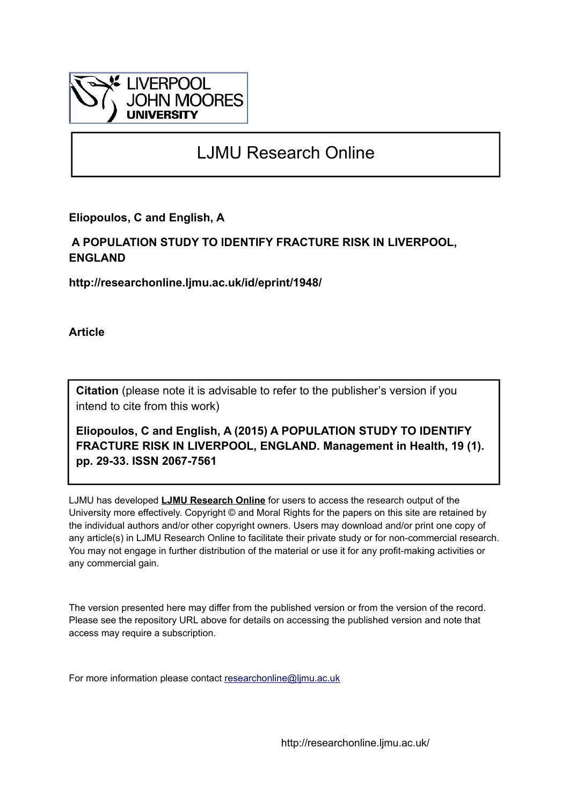

# LJMU Research Online

**Eliopoulos, C and English, A**

# **A POPULATION STUDY TO IDENTIFY FRACTURE RISK IN LIVERPOOL, ENGLAND**

**http://researchonline.ljmu.ac.uk/id/eprint/1948/**

**Article**

**Citation** (please note it is advisable to refer to the publisher's version if you intend to cite from this work)

**Eliopoulos, C and English, A (2015) A POPULATION STUDY TO IDENTIFY FRACTURE RISK IN LIVERPOOL, ENGLAND. Management in Health, 19 (1). pp. 29-33. ISSN 2067-7561** 

LJMU has developed **[LJMU Research Online](http://researchonline.ljmu.ac.uk/)** for users to access the research output of the University more effectively. Copyright © and Moral Rights for the papers on this site are retained by the individual authors and/or other copyright owners. Users may download and/or print one copy of any article(s) in LJMU Research Online to facilitate their private study or for non-commercial research. You may not engage in further distribution of the material or use it for any profit-making activities or any commercial gain.

The version presented here may differ from the published version or from the version of the record. Please see the repository URL above for details on accessing the published version and note that access may require a subscription.

For more information please contact [researchonline@ljmu.ac.uk](mailto:researchonline@ljmu.ac.uk)

http://researchonline.ljmu.ac.uk/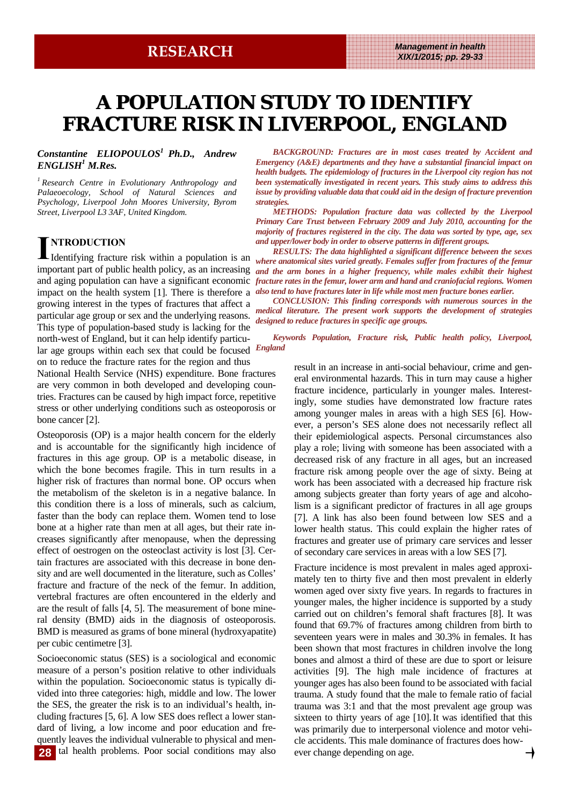# **A POPULATION STUDY TO IDENTIFY FRACTURE RISK IN LIVERPOOL, ENGLAND FRACTURE RISK IN LIVERPOOL, ENGLAND LIVERPOOL, ENGLAND**

## *Constantine ELIOPOULOS1 Ph.D., Andrew ENGLISH1 M.Res.*

*1 Research Centre in Evolutionary Anthropology and Palaeoecology, School of Natural Sciences and Psychology, Liverpool John Moores University, Byrom Street, Liverpool L3 3AF, United Kingdom.* 

# **I NTRODUCTION**

Identifying fracture risk within a population is an growing interest in the types of fractures that affect a particular age group or sex and the underlying reasons. This type of population-based study is lacking for the north-west of England, but it can help identify particular age groups within each sex that could be focused on to reduce the fracture rates for the region and thus

National Health Service (NHS) expenditure. Bone fractures are very common in both developed and developing countries. Fractures can be caused by high impact force, repetitive stress or other underlying conditions such as osteoporosis or bone cancer [2].

Osteoporosis (OP) is a major health concern for the elderly and is accountable for the significantly high incidence of fractures in this age group. OP is a metabolic disease, in which the bone becomes fragile. This in turn results in a higher risk of fractures than normal bone. OP occurs when the metabolism of the skeleton is in a negative balance. In this condition there is a loss of minerals, such as calcium, faster than the body can replace them. Women tend to lose bone at a higher rate than men at all ages, but their rate increases significantly after menopause, when the depressing effect of oestrogen on the osteoclast activity is lost [3]. Certain fractures are associated with this decrease in bone density and are well documented in the literature, such as Colles' fracture and fracture of the neck of the femur. In addition, vertebral fractures are often encountered in the elderly and are the result of falls [4, 5]. The measurement of bone mineral density (BMD) aids in the diagnosis of osteoporosis. BMD is measured as grams of bone mineral (hydroxyapatite) per cubic centimetre [3].

Socioeconomic status (SES) is a sociological and economic measure of a person's position relative to other individuals within the population. Socioeconomic status is typically divided into three categories: high, middle and low. The lower the SES, the greater the risk is to an individual's health, including fractures [5, 6]. A low SES does reflect a lower standard of living, a low income and poor education and frequently leaves the individual vulnerable to physical and men-28 tal health problems. Poor social conditions may also ever change depending on age.

*BACKGROUND: Fractures are in most cases treated by Accident and Emergency (A&E) departments and they have a substantial financial impact on health budgets. The epidemiology of fractures in the Liverpool city region has not been systematically investigated in recent years. This study aims to address this issue by providing valuable data that could aid in the design of fracture prevention strategies.* 

*METHODS: Population fracture data was collected by the Liverpool Primary Care Trust between February 2009 and July 2010, accounting for the majority of fractures registered in the city. The data was sorted by type, age, sex and upper/lower body in order to observe patterns in different groups.* 

important part of public health policy, as an increasing and the arm bones in a higher frequency, while males exhibit their highest and aging population can have a significant economic *fracture rates in the femur, lower arm and hand and craniofacial regions. Women* impact on the health system [1]. There is therefore a *also tend to have fractures later in life while most men fracture bones earlier*. *RESULTS: The data highlighted a significant difference between the sexes where anatomical sites varied greatly. Females suffer from fractures of the femur* 

*CONCLUSION: This finding corresponds with numerous sources in the medical literature. The present work supports the development of strategies designed to reduce fractures in specific age groups.* 

*Keywords Population, Fracture risk, Public health policy, Liverpool, England*

> result in an increase in anti-social behaviour, crime and general environmental hazards. This in turn may cause a higher fracture incidence, particularly in younger males. Interestingly, some studies have demonstrated low fracture rates among younger males in areas with a high SES [6]. However, a person's SES alone does not necessarily reflect all their epidemiological aspects. Personal circumstances also play a role; living with someone has been associated with a decreased risk of any fracture in all ages, but an increased fracture risk among people over the age of sixty. Being at work has been associated with a decreased hip fracture risk among subjects greater than forty years of age and alcoholism is a significant predictor of fractures in all age groups [7]. A link has also been found between low SES and a lower health status. This could explain the higher rates of fractures and greater use of primary care services and lesser of secondary care services in areas with a low SES [7].

> Fracture incidence is most prevalent in males aged approximately ten to thirty five and then most prevalent in elderly women aged over sixty five years. In regards to fractures in younger males, the higher incidence is supported by a study carried out on children's femoral shaft fractures [8]. It was found that 69.7% of fractures among children from birth to seventeen years were in males and 30.3% in females. It has been shown that most fractures in children involve the long bones and almost a third of these are due to sport or leisure activities [9]. The high male incidence of fractures at younger ages has also been found to be associated with facial trauma. A study found that the male to female ratio of facial trauma was 3:1 and that the most prevalent age group was sixteen to thirty years of age [10].It was identified that this was primarily due to interpersonal violence and motor vehicle accidents. This male dominance of fractures does how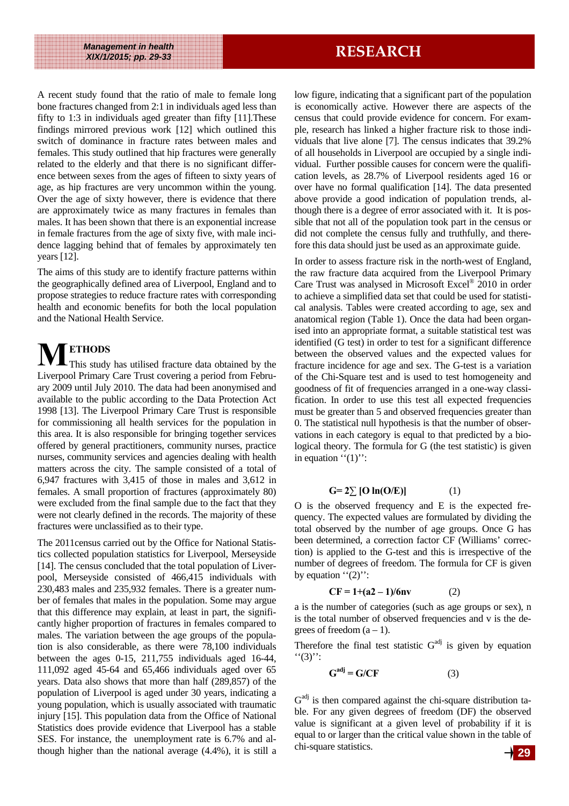A recent study found that the ratio of male to female long bone fractures changed from 2:1 in individuals aged less than fifty to 1:3 in individuals aged greater than fifty [11].These findings mirrored previous work [12] which outlined this switch of dominance in fracture rates between males and females. This study outlined that hip fractures were generally related to the elderly and that there is no significant difference between sexes from the ages of fifteen to sixty years of age, as hip fractures are very uncommon within the young. Over the age of sixty however, there is evidence that there are approximately twice as many fractures in females than males. It has been shown that there is an exponential increase in female fractures from the age of sixty five, with male incidence lagging behind that of females by approximately ten years [12].

The aims of this study are to identify fracture patterns within the geographically defined area of Liverpool, England and to propose strategies to reduce fracture rates with corresponding health and economic benefits for both the local population and the National Health Service.

**M ETHODS**  This study has utilised fracture data obtained by the Liverpool Primary Care Trust covering a period from February 2009 until July 2010. The data had been anonymised and available to the public according to the Data Protection Act 1998 [13]. The Liverpool Primary Care Trust is responsible for commissioning all health services for the population in this area. It is also responsible for bringing together services offered by general practitioners, community nurses, practice nurses, community services and agencies dealing with health matters across the city. The sample consisted of a total of 6,947 fractures with 3,415 of those in males and 3,612 in females. A small proportion of fractures (approximately 80) were excluded from the final sample due to the fact that they were not clearly defined in the records. The majority of these fractures were unclassified as to their type.

The 2011census carried out by the Office for National Statistics collected population statistics for Liverpool, Merseyside [14]. The census concluded that the total population of Liverpool, Merseyside consisted of 466,415 individuals with 230,483 males and 235,932 females. There is a greater number of females that males in the population. Some may argue that this difference may explain, at least in part, the significantly higher proportion of fractures in females compared to males. The variation between the age groups of the population is also considerable, as there were 78,100 individuals between the ages 0-15, 211,755 individuals aged 16-44, 111,092 aged 45-64 and 65,466 individuals aged over 65 years. Data also shows that more than half (289,857) of the population of Liverpool is aged under 30 years, indicating a young population, which is usually associated with traumatic injury [15]. This population data from the Office of National Statistics does provide evidence that Liverpool has a stable SES. For instance, the unemployment rate is 6.7% and although higher than the national average (4.4%), it is still a **29** low figure, indicating that a significant part of the population is economically active. However there are aspects of the census that could provide evidence for concern. For example, research has linked a higher fracture risk to those individuals that live alone [7]. The census indicates that 39.2% of all households in Liverpool are occupied by a single individual. Further possible causes for concern were the qualification levels, as 28.7% of Liverpool residents aged 16 or over have no formal qualification [14]. The data presented above provide a good indication of population trends, although there is a degree of error associated with it. It is possible that not all of the population took part in the census or did not complete the census fully and truthfully, and therefore this data should just be used as an approximate guide.

In order to assess fracture risk in the north-west of England, the raw fracture data acquired from the Liverpool Primary Care Trust was analysed in Microsoft Excel® 2010 in order to achieve a simplified data set that could be used for statistical analysis. Tables were created according to age, sex and anatomical region (Table 1). Once the data had been organised into an appropriate format, a suitable statistical test was identified (G test) in order to test for a significant difference between the observed values and the expected values for fracture incidence for age and sex. The G-test is a variation of the Chi-Square test and is used to test homogeneity and goodness of fit of frequencies arranged in a one-way classification. In order to use this test all expected frequencies must be greater than 5 and observed frequencies greater than 0. The statistical null hypothesis is that the number of observations in each category is equal to that predicted by a biological theory. The formula for G (the test statistic) is given in equation  $"(1)"$ :

## $G=2\Sigma$  [O ln(O/E)] (1)

O is the observed frequency and E is the expected frequency. The expected values are formulated by dividing the total observed by the number of age groups. Once G has been determined, a correction factor CF (Williams' correction) is applied to the G-test and this is irrespective of the number of degrees of freedom. The formula for CF is given by equation  $``(2)"$ :

$$
CF = 1 + (a2 - 1)/6nv
$$
 (2)

a is the number of categories (such as age groups or sex), n is the total number of observed frequencies and v is the degrees of freedom  $(a - 1)$ .

Therefore the final test statistic  $G<sup>adj</sup>$  is given by equation  $``(3)$ ":

$$
G^{adj} = G/CF \tag{3}
$$

 $G<sup>adj</sup>$  is then compared against the chi-square distribution table. For any given degrees of freedom (DF) the observed value is significant at a given level of probability if it is equal to or larger than the critical value shown in the table of chi-square statistics.

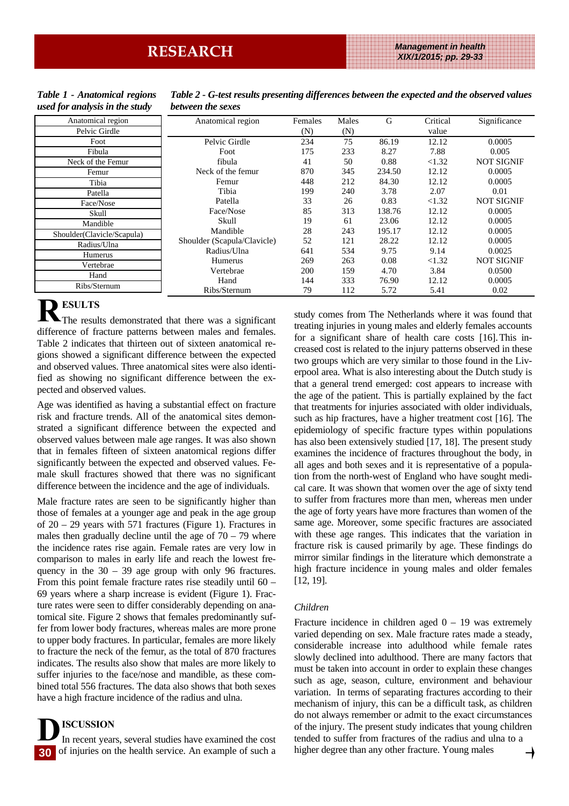### *Table 1 - Anatomical regions used for analysis in the study*

| Anatomical region        | Anatomical region           | Females | Males | G      | Critical | Significance      |
|--------------------------|-----------------------------|---------|-------|--------|----------|-------------------|
| Pelvic Girdle            |                             | (N)     | (N)   |        | value    |                   |
| Foot                     | Pelvic Girdle               | 234     | 75    | 86.19  | 12.12    | 0.0005            |
| Fibula                   | Foot                        | 175     | 233   | 8.27   | 7.88     | 0.005             |
| Neck of the Femur        | fibula                      | 41      | 50    | 0.88   | < 1.32   | <b>NOT SIGNIF</b> |
| Femur                    | Neck of the femur           | 870     | 345   | 234.50 | 12.12    | 0.0005            |
| Tibia                    | Femur                       | 448     | 212   | 84.30  | 12.12    | 0.0005            |
| Patella                  | Tibia                       | 199     | 240   | 3.78   | 2.07     | 0.01              |
| Face/Nose                | Patella                     | 33      | 26    | 0.83   | <1.32    | <b>NOT SIGNIF</b> |
| Skull                    | Face/Nose                   | 85      | 313   | 138.76 | 12.12    | 0.0005            |
| Mandible                 | Skull                       | 19      | 61    | 23.06  | 12.12    | 0.0005            |
| vulder(Clavicle/Scapula) | Mandible                    | 28      | 243   | 195.17 | 12.12    | 0.0005            |
| Radius/Ulna              | Shoulder (Scapula/Clavicle) | 52      | 121   | 28.22  | 12.12    | 0.0005            |
| Humerus                  | Radius/Ulna                 | 641     | 534   | 9.75   | 9.14     | 0.0025            |
| Vertebrae                | Humerus                     | 269     | 263   | 0.08   | < 1.32   | <b>NOT SIGNIF</b> |
| Hand                     | Vertebrae                   | 200     | 159   | 4.70   | 3.84     | 0.0500            |
|                          | Hand                        | 144     | 333   | 76.90  | 12.12    | 0.0005            |
| Ribs/Sternum             | Ribs/Sternum                | 79      | 112   | 5.72   | 5.41     | 0.02              |

### *Table 2 - G-test results presenting differences between the expected and the observed values between the sexes*

 $Shc$ 

**R ESULTS**  The results demonstrated that there was a significant difference of fracture patterns between males and females. Table 2 indicates that thirteen out of sixteen anatomical regions showed a significant difference between the expected and observed values. Three anatomical sites were also identified as showing no significant difference between the expected and observed values.

Age was identified as having a substantial effect on fracture risk and fracture trends. All of the anatomical sites demonstrated a significant difference between the expected and observed values between male age ranges. It was also shown that in females fifteen of sixteen anatomical regions differ significantly between the expected and observed values. Female skull fractures showed that there was no significant difference between the incidence and the age of individuals.

Male fracture rates are seen to be significantly higher than those of females at a younger age and peak in the age group of 20 – 29 years with 571 fractures (Figure 1). Fractures in males then gradually decline until the age of  $70 - 79$  where the incidence rates rise again. Female rates are very low in comparison to males in early life and reach the lowest frequency in the  $30 - 39$  age group with only 96 fractures. From this point female fracture rates rise steadily until 60 – 69 years where a sharp increase is evident (Figure 1). Fracture rates were seen to differ considerably depending on anatomical site. Figure 2 shows that females predominantly suffer from lower body fractures, whereas males are more prone to upper body fractures. In particular, females are more likely to fracture the neck of the femur, as the total of 870 fractures indicates. The results also show that males are more likely to suffer injuries to the face/nose and mandible, as these combined total 556 fractures. The data also shows that both sexes have a high fracture incidence of the radius and ulna.

# **D ISCUSSION**  In recent years, several studies have examined the cost **30**

of injuries on the health service. An example of such a

study comes from The Netherlands where it was found that treating injuries in young males and elderly females accounts for a significant share of health care costs [16].This increased cost is related to the injury patterns observed in these two groups which are very similar to those found in the Liverpool area. What is also interesting about the Dutch study is that a general trend emerged: cost appears to increase with the age of the patient. This is partially explained by the fact that treatments for injuries associated with older individuals, such as hip fractures, have a higher treatment cost [16]. The epidemiology of specific fracture types within populations has also been extensively studied [17, 18]. The present study examines the incidence of fractures throughout the body, in all ages and both sexes and it is representative of a population from the north-west of England who have sought medical care. It was shown that women over the age of sixty tend to suffer from fractures more than men, whereas men under the age of forty years have more fractures than women of the same age. Moreover, some specific fractures are associated with these age ranges. This indicates that the variation in fracture risk is caused primarily by age. These findings do mirror similar findings in the literature which demonstrate a high fracture incidence in young males and older females [12, 19].

# *Children*

Fracture incidence in children aged  $0 - 19$  was extremely varied depending on sex. Male fracture rates made a steady, considerable increase into adulthood while female rates slowly declined into adulthood. There are many factors that must be taken into account in order to explain these changes such as age, season, culture, environment and behaviour variation. In terms of separating fractures according to their mechanism of injury, this can be a difficult task, as children do not always remember or admit to the exact circumstances of the injury. The present study indicates that young children tended to suffer from fractures of the radius and ulna to a higher degree than any other fracture. Young males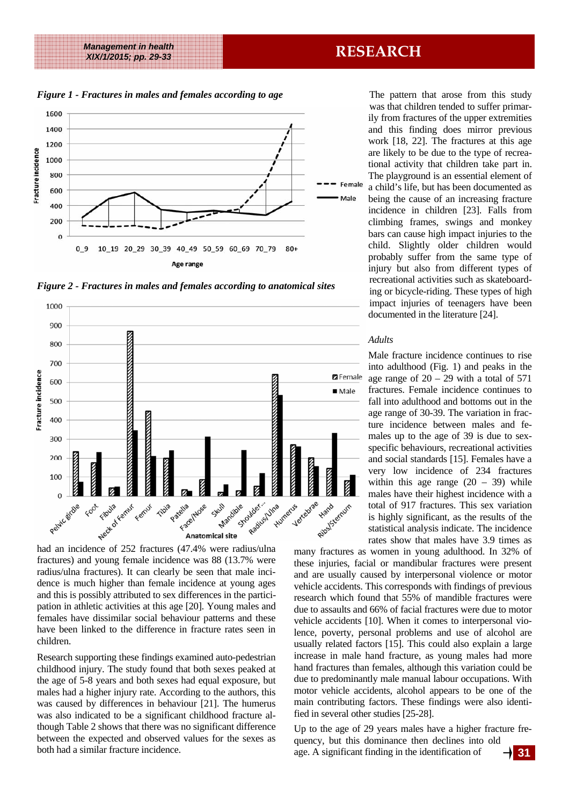## **RESEARCH** *Management in health XIX/1/2015; pp. 29-33*

*Figure 1 - Fractures in males and females according to age* 



*Figure 2 - Fractures in males and females according to anatomical sites* 



fractures) and young female incidence was 88 (13.7% were radius/ulna fractures). It can clearly be seen that male incidence is much higher than female incidence at young ages and this is possibly attributed to sex differences in the participation in athletic activities at this age [20]. Young males and females have dissimilar social behaviour patterns and these have been linked to the difference in fracture rates seen in children.

Research supporting these findings examined auto-pedestrian childhood injury. The study found that both sexes peaked at the age of 5-8 years and both sexes had equal exposure, but males had a higher injury rate. According to the authors, this was caused by differences in behaviour [21]. The humerus was also indicated to be a significant childhood fracture although Table 2 shows that there was no significant difference between the expected and observed values for the sexes as both had a similar fracture incidence.

The pattern that arose from this study was that children tended to suffer primarily from fractures of the upper extremities and this finding does mirror previous work [18, 22]. The fractures at this age are likely to be due to the type of recreational activity that children take part in. The playground is an essential element of a child's life, but has been documented as being the cause of an increasing fracture incidence in children [23]. Falls from climbing frames, swings and monkey bars can cause high impact injuries to the child. Slightly older children would probably suffer from the same type of injury but also from different types of recreational activities such as skateboarding or bicycle-riding. These types of high impact injuries of teenagers have been documented in the literature [24].

## *Adults*

Male fracture incidence continues to rise into adulthood (Fig. 1) and peaks in the age range of  $20 - 29$  with a total of 571 fractures. Female incidence continues to fall into adulthood and bottoms out in the age range of 30-39. The variation in fracture incidence between males and females up to the age of 39 is due to sexspecific behaviours, recreational activities and social standards [15]. Females have a very low incidence of 234 fractures within this age range  $(20 - 39)$  while males have their highest incidence with a total of 917 fractures. This sex variation is highly significant, as the results of the statistical analysis indicate. The incidence rates show that males have 3.9 times as

many fractures as women in young adulthood. In 32% of these injuries, facial or mandibular fractures were present and are usually caused by interpersonal violence or motor vehicle accidents. This corresponds with findings of previous research which found that 55% of mandible fractures were due to assaults and 66% of facial fractures were due to motor vehicle accidents [10]. When it comes to interpersonal violence, poverty, personal problems and use of alcohol are usually related factors [15]. This could also explain a large increase in male hand fracture, as young males had more hand fractures than females, although this variation could be due to predominantly male manual labour occupations. With motor vehicle accidents, alcohol appears to be one of the main contributing factors. These findings were also identified in several other studies [25-28].

Up to the age of 29 years males have a higher fracture frequency, but this dominance then declines into old age. A significant finding in the identification of  $\rightarrow$  31

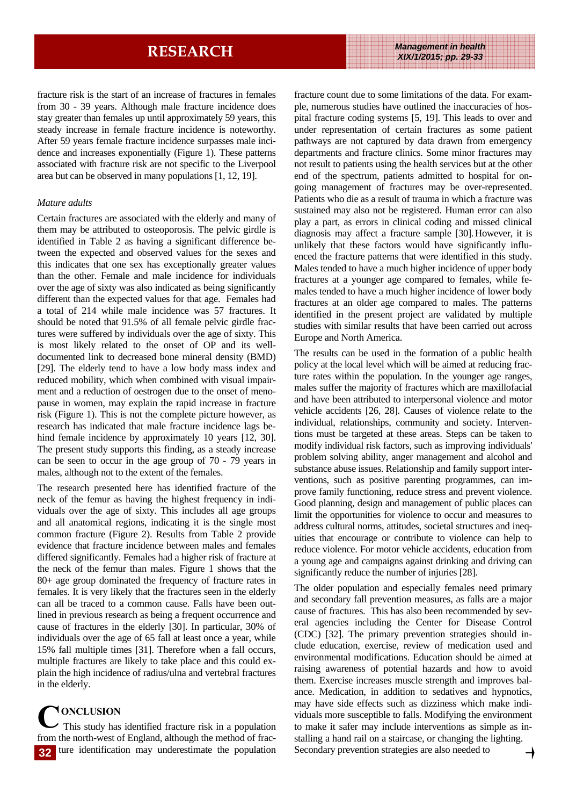fracture risk is the start of an increase of fractures in females from 30 - 39 years. Although male fracture incidence does stay greater than females up until approximately 59 years, this steady increase in female fracture incidence is noteworthy. After 59 years female fracture incidence surpasses male incidence and increases exponentially (Figure 1). These patterns associated with fracture risk are not specific to the Liverpool area but can be observed in many populations [1, 12, 19].

### *Mature adults*

Certain fractures are associated with the elderly and many of them may be attributed to osteoporosis. The pelvic girdle is identified in Table 2 as having a significant difference between the expected and observed values for the sexes and this indicates that one sex has exceptionally greater values than the other. Female and male incidence for individuals over the age of sixty was also indicated as being significantly different than the expected values for that age. Females had a total of 214 while male incidence was 57 fractures. It should be noted that 91.5% of all female pelvic girdle fractures were suffered by individuals over the age of sixty. This is most likely related to the onset of OP and its welldocumented link to decreased bone mineral density (BMD) [29]. The elderly tend to have a low body mass index and reduced mobility, which when combined with visual impairment and a reduction of oestrogen due to the onset of menopause in women, may explain the rapid increase in fracture risk (Figure 1). This is not the complete picture however, as research has indicated that male fracture incidence lags behind female incidence by approximately 10 years [12, 30]. The present study supports this finding, as a steady increase can be seen to occur in the age group of 70 - 79 years in males, although not to the extent of the females.

The research presented here has identified fracture of the neck of the femur as having the highest frequency in individuals over the age of sixty. This includes all age groups and all anatomical regions, indicating it is the single most common fracture (Figure 2). Results from Table 2 provide evidence that fracture incidence between males and females differed significantly. Females had a higher risk of fracture at the neck of the femur than males. Figure 1 shows that the 80+ age group dominated the frequency of fracture rates in females. It is very likely that the fractures seen in the elderly can all be traced to a common cause. Falls have been outlined in previous research as being a frequent occurrence and cause of fractures in the elderly [30]. In particular, 30% of individuals over the age of 65 fall at least once a year, while 15% fall multiple times [31]. Therefore when a fall occurs, multiple fractures are likely to take place and this could explain the high incidence of radius/ulna and vertebral fractures in the elderly.

**C ONCLUSION**  This study has identified fracture risk in a population from the north-west of England, although the method of frac-**32** ture identification may underestimate the population Secondary prevention strategies are also needed to

fracture count due to some limitations of the data. For example, numerous studies have outlined the inaccuracies of hospital fracture coding systems [5, 19]. This leads to over and under representation of certain fractures as some patient pathways are not captured by data drawn from emergency departments and fracture clinics. Some minor fractures may not result to patients using the health services but at the other end of the spectrum, patients admitted to hospital for ongoing management of fractures may be over-represented. Patients who die as a result of trauma in which a fracture was sustained may also not be registered. Human error can also play a part, as errors in clinical coding and missed clinical diagnosis may affect a fracture sample [30].However, it is unlikely that these factors would have significantly influenced the fracture patterns that were identified in this study. Males tended to have a much higher incidence of upper body fractures at a younger age compared to females, while females tended to have a much higher incidence of lower body fractures at an older age compared to males. The patterns identified in the present project are validated by multiple studies with similar results that have been carried out across Europe and North America.

The results can be used in the formation of a public health policy at the local level which will be aimed at reducing fracture rates within the population. In the younger age ranges, males suffer the majority of fractures which are maxillofacial and have been attributed to interpersonal violence and motor vehicle accidents [26, 28]. Causes of violence relate to the individual, relationships, community and society. Interventions must be targeted at these areas. Steps can be taken to modify individual risk factors, such as improving individuals' problem solving ability, anger management and alcohol and substance abuse issues. Relationship and family support interventions, such as positive parenting programmes, can improve family functioning, reduce stress and prevent violence. Good planning, design and management of public places can limit the opportunities for violence to occur and measures to address cultural norms, attitudes, societal structures and inequities that encourage or contribute to violence can help to reduce violence. For motor vehicle accidents, education from a young age and campaigns against drinking and driving can significantly reduce the number of injuries [28].

The older population and especially females need primary and secondary fall prevention measures, as falls are a major cause of fractures. This has also been recommended by several agencies including the Center for Disease Control (CDC) [32]. The primary prevention strategies should include education, exercise, review of medication used and environmental modifications. Education should be aimed at raising awareness of potential hazards and how to avoid them. Exercise increases muscle strength and improves balance. Medication, in addition to sedatives and hypnotics, may have side effects such as dizziness which make individuals more susceptible to falls. Modifying the environment to make it safer may include interventions as simple as installing a hand rail on a staircase, or changing the lighting.